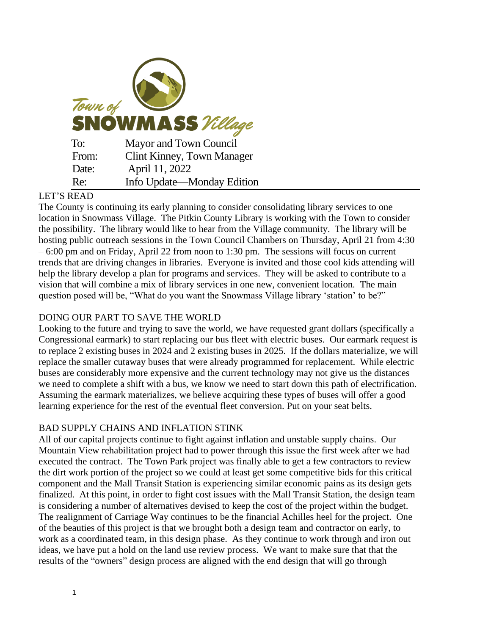

## LET'S READ

The County is continuing its early planning to consider consolidating library services to one location in Snowmass Village. The Pitkin County Library is working with the Town to consider the possibility. The library would like to hear from the Village community. The library will be hosting public outreach sessions in the Town Council Chambers on Thursday, April 21 from 4:30 – 6:00 pm and on Friday, April 22 from noon to 1:30 pm. The sessions will focus on current trends that are driving changes in libraries. Everyone is invited and those cool kids attending will help the library develop a plan for programs and services. They will be asked to contribute to a vision that will combine a mix of library services in one new, convenient location. The main question posed will be, "What do you want the Snowmass Village library 'station' to be?"

## DOING OUR PART TO SAVE THE WORLD

Looking to the future and trying to save the world, we have requested grant dollars (specifically a Congressional earmark) to start replacing our bus fleet with electric buses. Our earmark request is to replace 2 existing buses in 2024 and 2 existing buses in 2025. If the dollars materialize, we will replace the smaller cutaway buses that were already programmed for replacement. While electric buses are considerably more expensive and the current technology may not give us the distances we need to complete a shift with a bus, we know we need to start down this path of electrification. Assuming the earmark materializes, we believe acquiring these types of buses will offer a good learning experience for the rest of the eventual fleet conversion. Put on your seat belts.

## BAD SUPPLY CHAINS AND INFLATION STINK

All of our capital projects continue to fight against inflation and unstable supply chains. Our Mountain View rehabilitation project had to power through this issue the first week after we had executed the contract. The Town Park project was finally able to get a few contractors to review the dirt work portion of the project so we could at least get some competitive bids for this critical component and the Mall Transit Station is experiencing similar economic pains as its design gets finalized. At this point, in order to fight cost issues with the Mall Transit Station, the design team is considering a number of alternatives devised to keep the cost of the project within the budget. The realignment of Carriage Way continues to be the financial Achilles heel for the project. One of the beauties of this project is that we brought both a design team and contractor on early, to work as a coordinated team, in this design phase. As they continue to work through and iron out ideas, we have put a hold on the land use review process. We want to make sure that that the results of the "owners" design process are aligned with the end design that will go through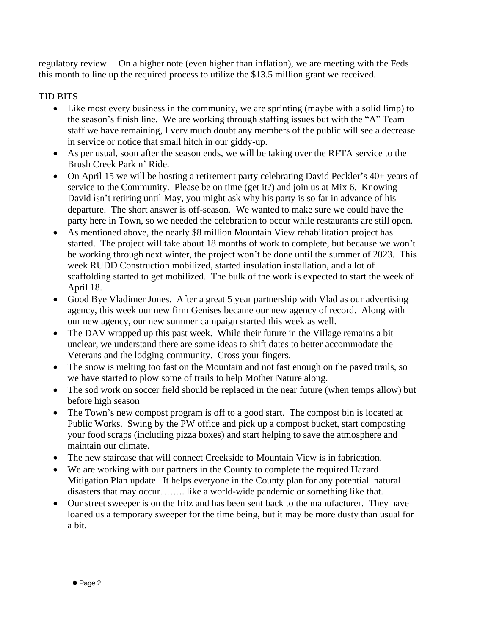regulatory review. On a higher note (even higher than inflation), we are meeting with the Feds this month to line up the required process to utilize the \$13.5 million grant we received.

## TID BITS

- Like most every business in the community, we are sprinting (maybe with a solid limp) to the season's finish line. We are working through staffing issues but with the "A" Team staff we have remaining, I very much doubt any members of the public will see a decrease in service or notice that small hitch in our giddy-up.
- As per usual, soon after the season ends, we will be taking over the RFTA service to the Brush Creek Park n' Ride.
- On April 15 we will be hosting a retirement party celebrating David Peckler's 40+ years of service to the Community. Please be on time (get it?) and join us at Mix 6. Knowing David isn't retiring until May, you might ask why his party is so far in advance of his departure. The short answer is off-season. We wanted to make sure we could have the party here in Town, so we needed the celebration to occur while restaurants are still open.
- As mentioned above, the nearly \$8 million Mountain View rehabilitation project has started. The project will take about 18 months of work to complete, but because we won't be working through next winter, the project won't be done until the summer of 2023. This week RUDD Construction mobilized, started insulation installation, and a lot of scaffolding started to get mobilized. The bulk of the work is expected to start the week of April 18.
- Good Bye Vladimer Jones. After a great 5 year partnership with Vlad as our advertising agency, this week our new firm Genises became our new agency of record. Along with our new agency, our new summer campaign started this week as well.
- The DAV wrapped up this past week. While their future in the Village remains a bit unclear, we understand there are some ideas to shift dates to better accommodate the Veterans and the lodging community. Cross your fingers.
- The snow is melting too fast on the Mountain and not fast enough on the paved trails, so we have started to plow some of trails to help Mother Nature along.
- The sod work on soccer field should be replaced in the near future (when temps allow) but before high season
- The Town's new compost program is off to a good start. The compost bin is located at Public Works. Swing by the PW office and pick up a compost bucket, start composting your food scraps (including pizza boxes) and start helping to save the atmosphere and maintain our climate.
- The new staircase that will connect Creekside to Mountain View is in fabrication.
- We are working with our partners in the County to complete the required Hazard Mitigation Plan update. It helps everyone in the County plan for any potential natural disasters that may occur…….. like a world-wide pandemic or something like that.
- Our street sweeper is on the fritz and has been sent back to the manufacturer. They have loaned us a temporary sweeper for the time being, but it may be more dusty than usual for a bit.